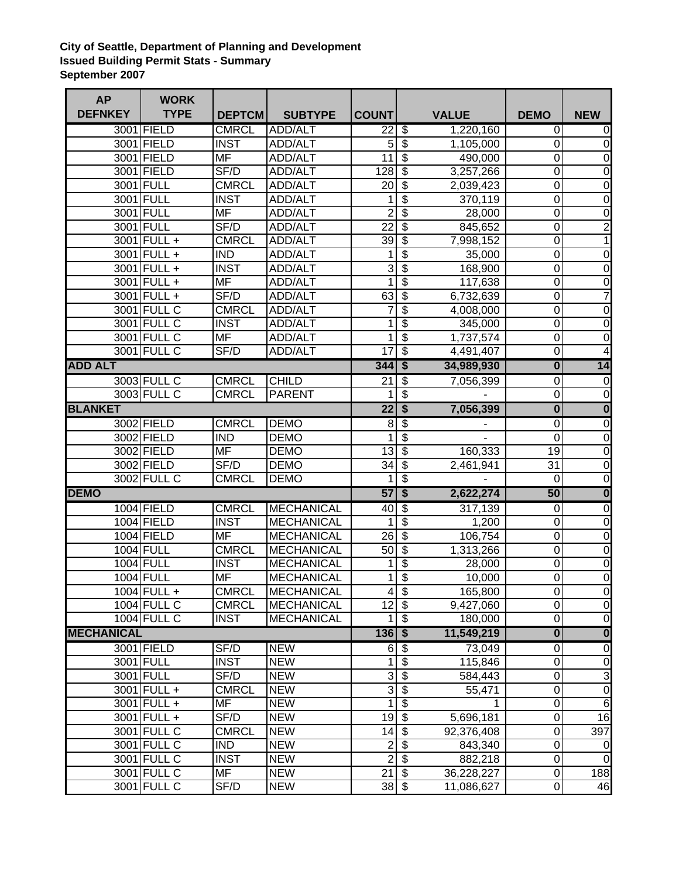## **City of Seattle, Department of Planning and Development Issued Building Permit Stats - Summary September 2007**

| <b>AP</b>         | <b>WORK</b>      |               |                   |                            |                                  |              |                         |                         |
|-------------------|------------------|---------------|-------------------|----------------------------|----------------------------------|--------------|-------------------------|-------------------------|
| <b>DEFNKEY</b>    | <b>TYPE</b>      | <b>DEPTCM</b> | <b>SUBTYPE</b>    | <b>COUNT</b>               |                                  | <b>VALUE</b> | <b>DEMO</b>             | <b>NEW</b>              |
|                   | 3001 FIELD       | <b>CMRCL</b>  | ADD/ALT           | 22                         | \$                               | 1,220,160    | 0                       | 0                       |
|                   | 3001 FIELD       | <b>INST</b>   | ADD/ALT           | 5                          | \$                               | 1,105,000    | 0                       | $\mathbf 0$             |
|                   | 3001 FIELD       | <b>MF</b>     | ADD/ALT           | 11                         | \$                               | 490,000      | 0                       | 0                       |
|                   | 3001 FIELD       | SF/D          | ADD/ALT           | 128                        | $\overline{\boldsymbol{\theta}}$ | 3,257,266    | 0                       | $\mathbf 0$             |
|                   | 3001 FULL        | <b>CMRCL</b>  | <b>ADD/ALT</b>    | 20                         | $\overline{\mathcal{S}}$         | 2,039,423    | 0                       | $\overline{0}$          |
|                   | 3001 FULL        | <b>INST</b>   | ADD/ALT           | 1                          | $\overline{\$}$                  | 370,119      | 0                       | $\overline{0}$          |
|                   | 3001 FULL        | <b>MF</b>     | ADD/ALT           | $\overline{2}$             | $\overline{\mathcal{E}}$         | 28,000       | 0                       | $\mathbf 0$             |
|                   | 3001 FULL        | SF/D          | ADD/ALT           | $\overline{22}$            | $\overline{\mathcal{S}}$         | 845,652      | 0                       | $\overline{2}$          |
|                   | $3001$ FULL +    | <b>CMRCL</b>  | ADD/ALT           | $\overline{39}$            | $\overline{\mathcal{S}}$         | 7,998,152    | 0                       | $\mathbf 1$             |
|                   | 3001 FULL +      | <b>IND</b>    | ADD/ALT           | 1                          | \$                               | 35,000       | 0                       | 0                       |
|                   | $3001$ FULL +    | <b>INST</b>   | ADD/ALT           | 3                          | $\overline{\$}$                  | 168,900      | $\mathbf 0$             | $\overline{0}$          |
|                   | 3001 FULL +      | <b>MF</b>     | ADD/ALT           | 1                          | $\overline{\$}$                  | 117,638      | 0                       | $\overline{0}$          |
|                   | 3001 FULL +      | SF/D          | <b>ADD/ALT</b>    | 63                         | $\overline{\$}$                  | 6,732,639    | $\mathbf 0$             | $\overline{7}$          |
|                   | 3001 FULL C      | <b>CMRCL</b>  | ADD/ALT           | 7                          | $\overline{\$}$                  | 4,008,000    | $\overline{0}$          | $\overline{0}$          |
|                   | 3001 FULL C      | <b>INST</b>   | ADD/ALT           | 1                          | \$                               | 345,000      | 0                       | $\mathbf 0$             |
|                   | 3001 FULL C      | MF            | ADD/ALT           | 1                          | \$                               | 1,737,574    | 0                       | $\mathbf 0$             |
|                   | 3001 FULL C      | SF/D          | <b>ADD/ALT</b>    | 17                         | $\overline{\$}$                  | 4,491,407    | 0                       | $\overline{4}$          |
| <b>ADD ALT</b>    |                  |               |                   | 344                        | $\overline{\$}$                  | 34,989,930   | $\overline{\mathbf{0}}$ | 14                      |
|                   | 3003 FULL C      | <b>CMRCL</b>  | <b>CHILD</b>      | 21                         | \$                               | 7,056,399    | $\overline{0}$          | $\overline{0}$          |
|                   | 3003 FULL C      | <b>CMRCL</b>  | <b>PARENT</b>     |                            | \$                               |              | 0                       | $\mathbf 0$             |
| <b>BLANKET</b>    |                  |               |                   | $\overline{22}$            | $\overline{\$}$                  | 7,056,399    | $\overline{\mathbf{0}}$ | $\overline{\mathbf{0}}$ |
|                   | 3002 FIELD       | <b>CMRCL</b>  | <b>DEMO</b>       | 8                          | \$                               |              | 0                       | $\overline{0}$          |
|                   | 3002 FIELD       | <b>IND</b>    | <b>DEMO</b>       | 1                          | $\overline{\$}$                  |              | 0                       | $\mathbf 0$             |
|                   | 3002 FIELD       | MF            | <b>DEMO</b>       | 13                         | $\overline{\$}$                  | 160,333      | 19                      | $\overline{0}$          |
|                   | 3002 FIELD       | SF/D          | <b>DEMO</b>       | 34                         | $\overline{\$}$                  | 2,461,941    | 31                      | $\overline{0}$          |
|                   | 3002 FULL C      | <b>CMRCL</b>  | <b>DEMO</b>       | 1                          | $\overline{\$}$                  |              | $\overline{0}$          | $\overline{0}$          |
| <b>DEMO</b>       |                  |               |                   | 57                         | \$                               | 2,622,274    | 50                      | $\overline{\mathbf{0}}$ |
|                   | 1004 FIELD       | <b>CMRCL</b>  | <b>MECHANICAL</b> | 40                         | $\overline{\$}$                  | 317,139      | $\overline{0}$          | $\overline{0}$          |
|                   | 1004 FIELD       | <b>INST</b>   | <b>MECHANICAL</b> | 1                          | $\overline{\mathcal{S}}$         | 1,200        | 0                       | $\overline{0}$          |
|                   | 1004 FIELD       | <b>MF</b>     | <b>MECHANICAL</b> | 26                         | $\overline{\mathcal{S}}$         | 106,754      | $\mathsf 0$             | $\overline{0}$          |
|                   | 1004 FULL        | <b>CMRCL</b>  | <b>MECHANICAL</b> | $\overline{50}$            | $\overline{\mathcal{S}}$         | 1,313,266    | 0                       | $\overline{0}$          |
|                   | 1004 FULL        | <b>INST</b>   | <b>MECHANICAL</b> | 1                          | \$                               | 28,000       | 0                       | $\mathbf 0$             |
|                   | <b>1004 FULL</b> | <b>MF</b>     | <b>MECHANICAL</b> | 1                          | $\overline{\$}$                  | 10,000       | 0                       | $\overline{0}$          |
|                   | 1004 FULL +      | <b>CMRCL</b>  | MECHANICAL        |                            | $4 \,$ \$                        | 165,800      | $\overline{0}$          | $\pmb{0}$               |
|                   | 1004 FULL C      | <b>CMRCL</b>  | <b>MECHANICAL</b> | $12\overline{\smash{)}\,}$ |                                  | 9,427,060    | 0                       | $\overline{0}$          |
|                   | 1004 FULL C      | <b>INST</b>   | <b>MECHANICAL</b> | 1                          | $\boldsymbol{\mathsf{S}}$        | 180,000      | 0                       | $\boldsymbol{0}$        |
| <b>MECHANICAL</b> |                  |               |                   | $136$ \$                   |                                  | 11,549,219   | $\overline{\mathbf{0}}$ | $\overline{\mathbf{0}}$ |
|                   | 3001 FIELD       | SF/D          | <b>NEW</b>        |                            | ნ \$                             | 73,049       | $\pmb{0}$               | $\overline{0}$          |
|                   | 3001 FULL        | <b>INST</b>   | <b>NEW</b>        | $\mathbf{1}$               | $\boldsymbol{\theta}$            | 115,846      | $\pmb{0}$               | $\overline{0}$          |
|                   | 3001 FULL        | SF/D          | <b>NEW</b>        | ω                          | $\boldsymbol{\mathsf{S}}$        | 584,443      | $\mathsf 0$             | $\overline{3}$          |
|                   | 3001 FULL +      | <b>CMRCL</b>  | <b>NEW</b>        | $\overline{3}$             | $\frac{1}{2}$                    | 55,471       | 0                       | $\pmb{0}$               |
|                   | 3001 FULL +      | MF            | <b>NEW</b>        | 1                          | \$                               |              | 0                       | $6\phantom{1}6$         |
|                   | 3001 FULL +      | SF/D          | <b>NEW</b>        | $19$ \$                    |                                  | 5,696,181    | $\mathsf{O}\xspace$     | 16                      |
|                   | 3001 FULL C      | <b>CMRCL</b>  | <b>NEW</b>        | 14                         | $\overline{\mathbf{s}}$          | 92,376,408   | 0                       | 397                     |
|                   | 3001 FULL C      | <b>IND</b>    | <b>NEW</b>        | $\boldsymbol{2}$           | $\boldsymbol{\mathsf{S}}$        | 843,340      | 0                       | 0                       |
|                   | 3001 FULL C      | <b>INST</b>   | <b>NEW</b>        | $\overline{2}$             | \$                               | 882,218      | $\overline{0}$          | $\mathbf 0$             |
|                   | 3001 FULL C      | MF            | <b>NEW</b>        | $\overline{21}$            | $\boldsymbol{\mathsf{S}}$        | 36,228,227   | 0                       | 188                     |
|                   | 3001 FULL C      | SF/D          | <b>NEW</b>        | $38 \, \sqrt{3}$           |                                  | 11,086,627   | $\overline{0}$          | 46                      |